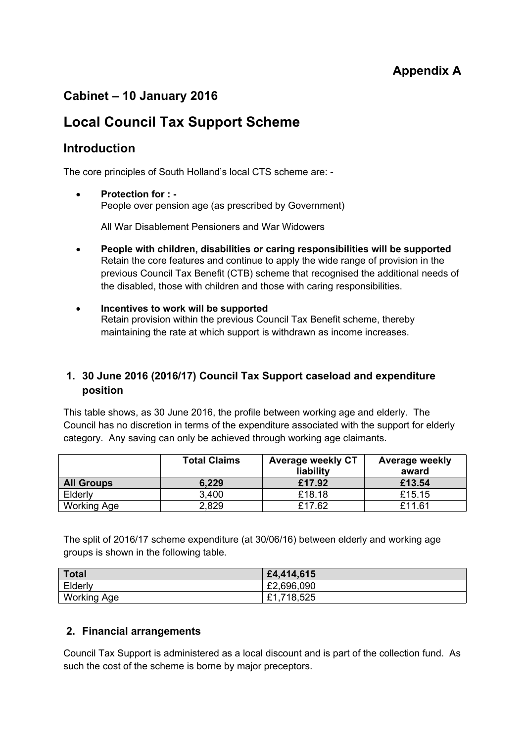# **Appendix A**

# **Cabinet – 10 January 2016**

# **Local Council Tax Support Scheme**

## **Introduction**

The core principles of South Holland's local CTS scheme are: -

 **Protection for : -** People over pension age (as prescribed by Government)

All War Disablement Pensioners and War Widowers

- **People with children, disabilities or caring responsibilities will be supported** Retain the core features and continue to apply the wide range of provision in the previous Council Tax Benefit (CTB) scheme that recognised the additional needs of the disabled, those with children and those with caring responsibilities.
- **Incentives to work will be supported** Retain provision within the previous Council Tax Benefit scheme, thereby maintaining the rate at which support is withdrawn as income increases.

### **1. 30 June 2016 (2016/17) Council Tax Support caseload and expenditure position**

This table shows, as 30 June 2016, the profile between working age and elderly. The Council has no discretion in terms of the expenditure associated with the support for elderly category. Any saving can only be achieved through working age claimants.

|                    | <b>Total Claims</b> | <b>Average weekly CT</b> | <b>Average weekly</b> |  |
|--------------------|---------------------|--------------------------|-----------------------|--|
|                    |                     | liability                | award                 |  |
| <b>All Groups</b>  | 6,229               | £17.92                   | £13.54                |  |
| Elderly            | 3,400               | £18.18                   | £15.15                |  |
| <b>Working Age</b> | 2,829               | £17.62                   | £11.61                |  |

The split of 2016/17 scheme expenditure (at 30/06/16) between elderly and working age groups is shown in the following table.

| <b>Total</b>       | £4,414,615 |
|--------------------|------------|
| Elderly            | £2,696,090 |
| <b>Working Age</b> | £1,718,525 |

#### **2. Financial arrangements**

Council Tax Support is administered as a local discount and is part of the collection fund. As such the cost of the scheme is borne by major preceptors.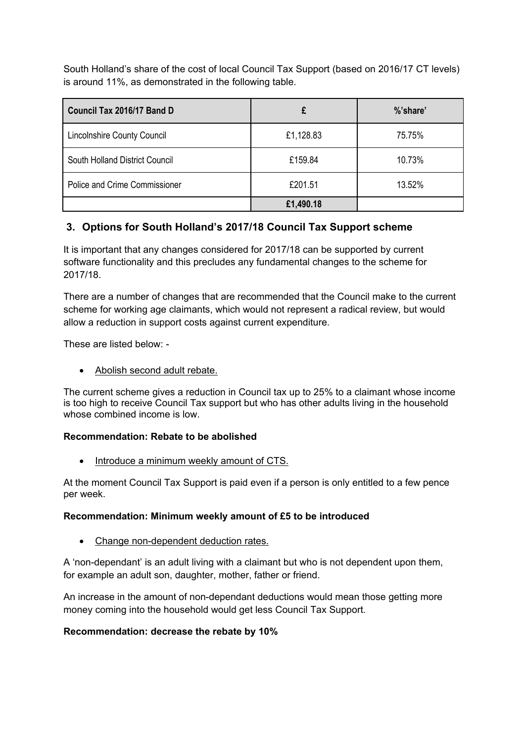South Holland's share of the cost of local Council Tax Support (based on 2016/17 CT levels) is around 11%, as demonstrated in the following table.

| Council Tax 2016/17 Band D         |           | %'share' |  |
|------------------------------------|-----------|----------|--|
| <b>Lincolnshire County Council</b> | £1,128.83 | 75.75%   |  |
| South Holland District Council     | £159.84   | 10.73%   |  |
| Police and Crime Commissioner      | £201.51   | 13.52%   |  |
|                                    | £1,490.18 |          |  |

## **3. Options for South Holland's 2017/18 Council Tax Support scheme**

It is important that any changes considered for 2017/18 can be supported by current software functionality and this precludes any fundamental changes to the scheme for 2017/18.

There are a number of changes that are recommended that the Council make to the current scheme for working age claimants, which would not represent a radical review, but would allow a reduction in support costs against current expenditure.

These are listed below: -

Abolish second adult rebate.

The current scheme gives a reduction in Council tax up to 25% to a claimant whose income is too high to receive Council Tax support but who has other adults living in the household whose combined income is low.

#### **Recommendation: Rebate to be abolished**

• Introduce a minimum weekly amount of CTS.

At the moment Council Tax Support is paid even if a person is only entitled to a few pence per week.

#### **Recommendation: Minimum weekly amount of £5 to be introduced**

• Change non-dependent deduction rates.

A 'non-dependant' is an adult living with a claimant but who is not dependent upon them, for example an adult son, daughter, mother, father or friend.

An increase in the amount of non-dependant deductions would mean those getting more money coming into the household would get less Council Tax Support.

#### **Recommendation: decrease the rebate by 10%**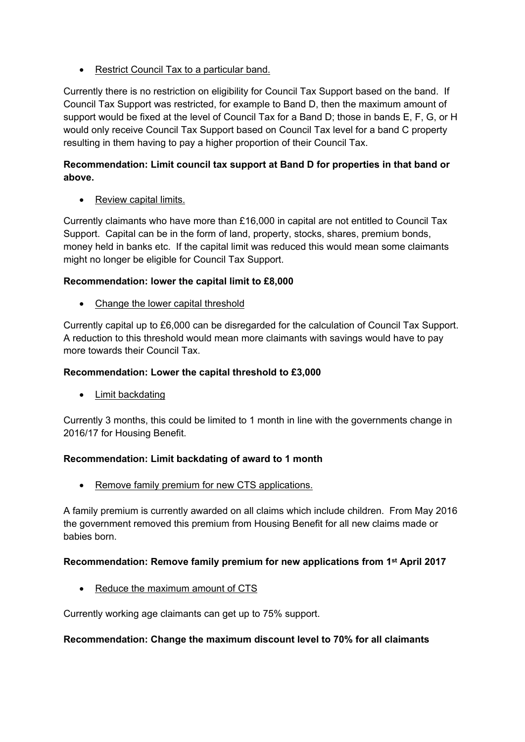• Restrict Council Tax to a particular band.

Currently there is no restriction on eligibility for Council Tax Support based on the band. If Council Tax Support was restricted, for example to Band D, then the maximum amount of support would be fixed at the level of Council Tax for a Band D; those in bands E, F, G, or H would only receive Council Tax Support based on Council Tax level for a band C property resulting in them having to pay a higher proportion of their Council Tax.

#### **Recommendation: Limit council tax support at Band D for properties in that band or above.**

• Review capital limits.

Currently claimants who have more than £16,000 in capital are not entitled to Council Tax Support. Capital can be in the form of land, property, stocks, shares, premium bonds, money held in banks etc. If the capital limit was reduced this would mean some claimants might no longer be eligible for Council Tax Support.

#### **Recommendation: lower the capital limit to £8,000**

• Change the lower capital threshold

Currently capital up to £6,000 can be disregarded for the calculation of Council Tax Support. A reduction to this threshold would mean more claimants with savings would have to pay more towards their Council Tax.

#### **Recommendation: Lower the capital threshold to £3,000**

• Limit backdating

Currently 3 months, this could be limited to 1 month in line with the governments change in 2016/17 for Housing Benefit.

#### **Recommendation: Limit backdating of award to 1 month**

• Remove family premium for new CTS applications.

A family premium is currently awarded on all claims which include children. From May 2016 the government removed this premium from Housing Benefit for all new claims made or babies born.

#### **Recommendation: Remove family premium for new applications from 1 st April 2017**

• Reduce the maximum amount of CTS

Currently working age claimants can get up to 75% support.

#### **Recommendation: Change the maximum discount level to 70% for all claimants**